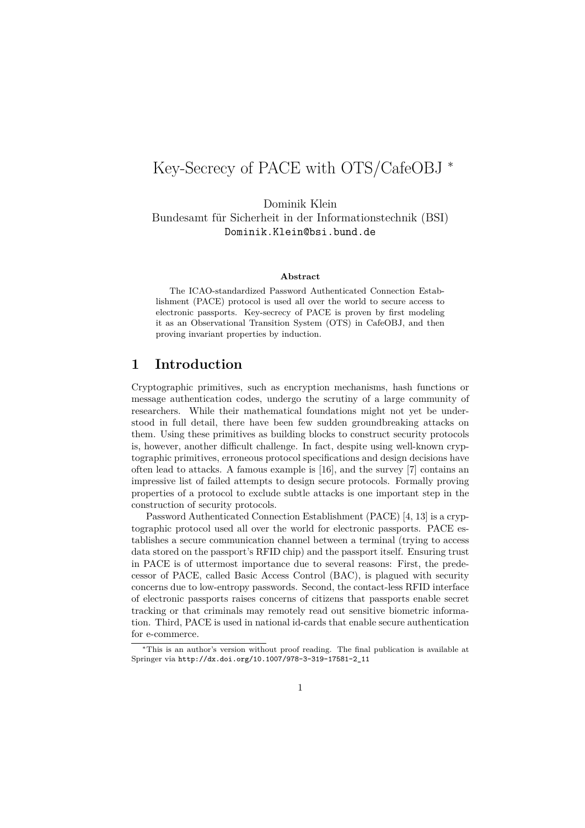# Key-Secrecy of PACE with OTS/CafeOBJ <sup>∗</sup>

Dominik Klein Bundesamt für Sicherheit in der Informationstechnik (BSI) Dominik.Klein@bsi.bund.de

#### **Abstract**

The ICAO-standardized Password Authenticated Connection Establishment (PACE) protocol is used all over the world to secure access to electronic passports. Key-secrecy of PACE is proven by first modeling it as an Observational Transition System (OTS) in CafeOBJ, and then proving invariant properties by induction.

### **1 Introduction**

Cryptographic primitives, such as encryption mechanisms, hash functions or message authentication codes, undergo the scrutiny of a large community of researchers. While their mathematical foundations might not yet be understood in full detail, there have been few sudden groundbreaking attacks on them. Using these primitives as building blocks to construct security protocols is, however, another difficult challenge. In fact, despite using well-known cryptographic primitives, erroneous protocol specifications and design decisions have often lead to attacks. A famous example is [16], and the survey [7] contains an impressive list of failed attempts to design secure protocols. Formally proving properties of a protocol to exclude subtle attacks is one important step in the construction of security protocols.

Password Authenticated Connection Establishment (PACE) [4, 13] is a cryptographic protocol used all over the world for electronic passports. PACE establishes a secure communication channel between a terminal (trying to access data stored on the passport's RFID chip) and the passport itself. Ensuring trust in PACE is of uttermost importance due to several reasons: First, the predecessor of PACE, called Basic Access Control (BAC), is plagued with security concerns due to low-entropy passwords. Second, the contact-less RFID interface of electronic passports raises concerns of citizens that passports enable secret tracking or that criminals may remotely read out sensitive biometric information. Third, PACE is used in national id-cards that enable secure authentication for e-commerce.

<sup>∗</sup>This is an author's version without proof reading. The final publication is available at Springer via http://dx.doi.org/10.1007/978-3-319-17581-2\_11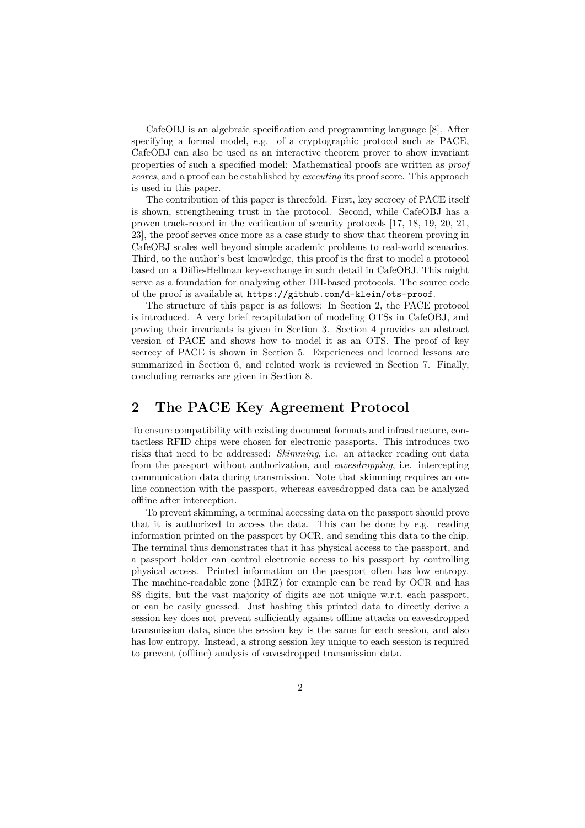CafeOBJ is an algebraic specification and programming language [8]. After specifying a formal model, e.g. of a cryptographic protocol such as PACE, CafeOBJ can also be used as an interactive theorem prover to show invariant properties of such a specified model: Mathematical proofs are written as *proof scores*, and a proof can be established by *executing* its proof score. This approach is used in this paper.

The contribution of this paper is threefold. First, key secrecy of PACE itself is shown, strengthening trust in the protocol. Second, while CafeOBJ has a proven track-record in the verification of security protocols [17, 18, 19, 20, 21, 23], the proof serves once more as a case study to show that theorem proving in CafeOBJ scales well beyond simple academic problems to real-world scenarios. Third, to the author's best knowledge, this proof is the first to model a protocol based on a Diffie-Hellman key-exchange in such detail in CafeOBJ. This might serve as a foundation for analyzing other DH-based protocols. The source code of the proof is available at https://github.com/d-klein/ots-proof.

The structure of this paper is as follows: In Section 2, the PACE protocol is introduced. A very brief recapitulation of modeling OTSs in CafeOBJ, and proving their invariants is given in Section 3. Section 4 provides an abstract version of PACE and shows how to model it as an OTS. The proof of key secrecy of PACE is shown in Section 5. Experiences and learned lessons are summarized in Section 6, and related work is reviewed in Section 7. Finally, concluding remarks are given in Section 8.

# **2 The PACE Key Agreement Protocol**

To ensure compatibility with existing document formats and infrastructure, contactless RFID chips were chosen for electronic passports. This introduces two risks that need to be addressed: *Skimming*, i.e. an attacker reading out data from the passport without authorization, and *eavesdropping*, i.e. intercepting communication data during transmission. Note that skimming requires an online connection with the passport, whereas eavesdropped data can be analyzed offline after interception.

To prevent skimming, a terminal accessing data on the passport should prove that it is authorized to access the data. This can be done by e.g. reading information printed on the passport by OCR, and sending this data to the chip. The terminal thus demonstrates that it has physical access to the passport, and a passport holder can control electronic access to his passport by controlling physical access. Printed information on the passport often has low entropy. The machine-readable zone (MRZ) for example can be read by OCR and has 88 digits, but the vast majority of digits are not unique w.r.t. each passport, or can be easily guessed. Just hashing this printed data to directly derive a session key does not prevent sufficiently against offline attacks on eavesdropped transmission data, since the session key is the same for each session, and also has low entropy. Instead, a strong session key unique to each session is required to prevent (offline) analysis of eavesdropped transmission data.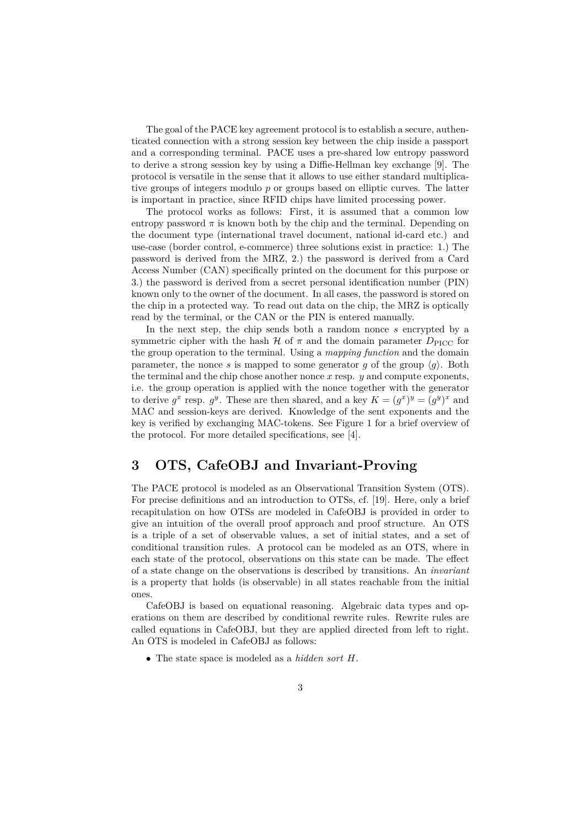The goal of the PACE key agreement protocol is to establish a secure, authenticated connection with a strong session key between the chip inside a passport and a corresponding terminal. PACE uses a pre-shared low entropy password to derive a strong session key by using a Diffie-Hellman key exchange [9]. The protocol is versatile in the sense that it allows to use either standard multiplicative groups of integers modulo *p* or groups based on elliptic curves. The latter is important in practice, since RFID chips have limited processing power.

The protocol works as follows: First, it is assumed that a common low entropy password  $\pi$  is known both by the chip and the terminal. Depending on the document type (international travel document, national id-card etc.) and use-case (border control, e-commerce) three solutions exist in practice: 1.) The password is derived from the MRZ, 2.) the password is derived from a Card Access Number (CAN) specifically printed on the document for this purpose or 3.) the password is derived from a secret personal identification number (PIN) known only to the owner of the document. In all cases, the password is stored on the chip in a protected way. To read out data on the chip, the MRZ is optically read by the terminal, or the CAN or the PIN is entered manually.

In the next step, the chip sends both a random nonce *s* encrypted by a symmetric cipher with the hash  $H$  of  $\pi$  and the domain parameter  $D_{\text{PICC}}$  for the group operation to the terminal. Using a *mapping function* and the domain parameter, the nonce *s* is mapped to some generator *g* of the group  $\langle g \rangle$ . Both the terminal and the chip chose another nonce *x* resp. *y* and compute exponents, i.e. the group operation is applied with the nonce together with the generator to derive  $g^x$  resp.  $g^y$ . These are then shared, and a key  $K = (g^x)^y = (g^y)^x$  and MAC and session-keys are derived. Knowledge of the sent exponents and the key is verified by exchanging MAC-tokens. See Figure 1 for a brief overview of the protocol. For more detailed specifications, see [4].

# **3 OTS, CafeOBJ and Invariant-Proving**

The PACE protocol is modeled as an Observational Transition System (OTS). For precise definitions and an introduction to OTSs, cf. [19]. Here, only a brief recapitulation on how OTSs are modeled in CafeOBJ is provided in order to give an intuition of the overall proof approach and proof structure. An OTS is a triple of a set of observable values, a set of initial states, and a set of conditional transition rules. A protocol can be modeled as an OTS, where in each state of the protocol, observations on this state can be made. The effect of a state change on the observations is described by transitions. An *invariant* is a property that holds (is observable) in all states reachable from the initial ones.

CafeOBJ is based on equational reasoning. Algebraic data types and operations on them are described by conditional rewrite rules. Rewrite rules are called equations in CafeOBJ, but they are applied directed from left to right. An OTS is modeled in CafeOBJ as follows:

• The state space is modeled as a *hidden sort H*.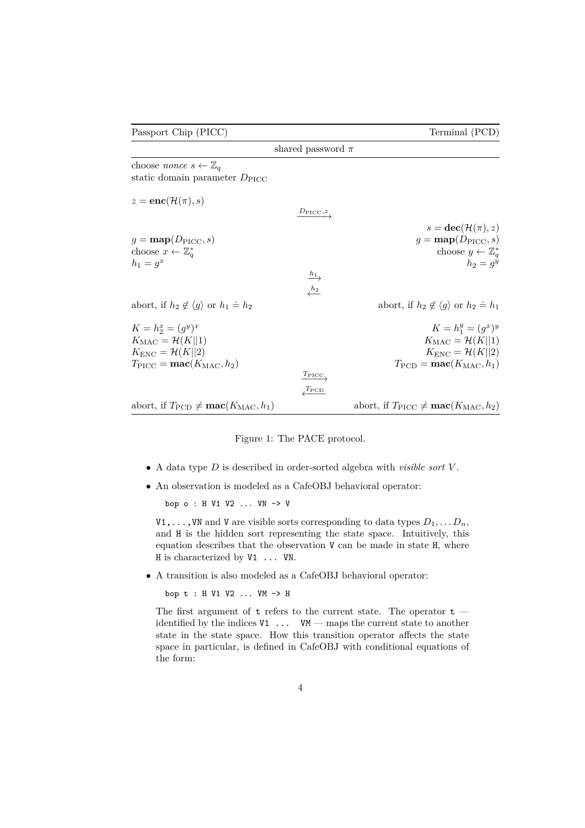|                                                                                                                                                              | shared password $\pi$                                                 |                                                                                                                                                             |
|--------------------------------------------------------------------------------------------------------------------------------------------------------------|-----------------------------------------------------------------------|-------------------------------------------------------------------------------------------------------------------------------------------------------------|
| choose <i>nonce</i> $s \leftarrow \mathbb{Z}_q$<br>static domain parameter $D_{\text{PICC}}$                                                                 |                                                                       |                                                                                                                                                             |
| $z = \mathbf{enc}(\mathcal{H}(\pi), s)$                                                                                                                      | $\frac{D_{\text{PICC}},z}{\rightarrow}$                               |                                                                                                                                                             |
|                                                                                                                                                              |                                                                       | $s = \mathbf{dec}(\mathcal{H}(\pi), z)$                                                                                                                     |
| $g = \text{map}(D_{\text{PIC}}, s)$<br>choose $x \leftarrow \mathbb{Z}_q^*$<br>$h_1 = q^x$                                                                   |                                                                       | $g = \text{map}(D_{\text{PIC}}, s)$<br>choose $y \leftarrow \mathbb{Z}_q^*$<br>$h_2 = q^y$                                                                  |
|                                                                                                                                                              | $\stackrel{h_1}{\longrightarrow}$<br>$\stackrel{h_2}{\longleftarrow}$ |                                                                                                                                                             |
| abort, if $h_2 \notin \langle g \rangle$ or $h_1 \doteq h_2$                                                                                                 |                                                                       | abort, if $h_2 \notin \langle g \rangle$ or $h_2 \doteq h_1$                                                                                                |
| $K = h_2^x = (g^y)^x$<br>$K_{\text{MAC}} = \mathcal{H}(K  1)$<br>$K_{\text{ENC}} = \mathcal{H}(K  2)$<br>$T_{\text{PICC}} = \text{mac}(K_{\text{MAC}}, h_2)$ |                                                                       | $K = h_1^y = (q^x)^y$<br>$K_{\text{MAC}} = \mathcal{H}(K  1)$<br>$K_{\text{ENC}} = \mathcal{H}(K  2)$<br>$T_{\text{PCD}} = \text{mac}(K_{\text{MAC}}, h_1)$ |
|                                                                                                                                                              | $T_{\text{PICC}}$<br>$T_{\rm PCD}$                                    |                                                                                                                                                             |
| abort, if $T_{\text{PCD}} \neq \text{mac}(K_{\text{MAC}}, h_1)$                                                                                              |                                                                       | abort, if $T_{\text{PICC}} \neq \text{mac}(K_{\text{MAC}}, h_2)$                                                                                            |

Figure 1: The PACE protocol.

- A data type *D* is described in order-sorted algebra with *visible sort V* .
- An observation is modeled as a CafeOBJ behavioral operator:

bop o : H V1 V2 ... VN -> V

V1,..., VN and V are visible sorts corresponding to data types  $D_1, \ldots, D_n$ , and H is the hidden sort representing the state space. Intuitively, this equation describes that the observation V can be made in state H, where H is characterized by V1 ... VN.

• A transition is also modeled as a CafeOBJ behavioral operator:

bop t : H V1 V2 ... VM -> H

The first argument of  $t$  refers to the current state. The operator  $t$ identified by the indices  $V1$  ...  $VM$  — maps the current state to another state in the state space. How this transition operator affects the state space in particular, is defined in CafeOBJ with conditional equations of the form: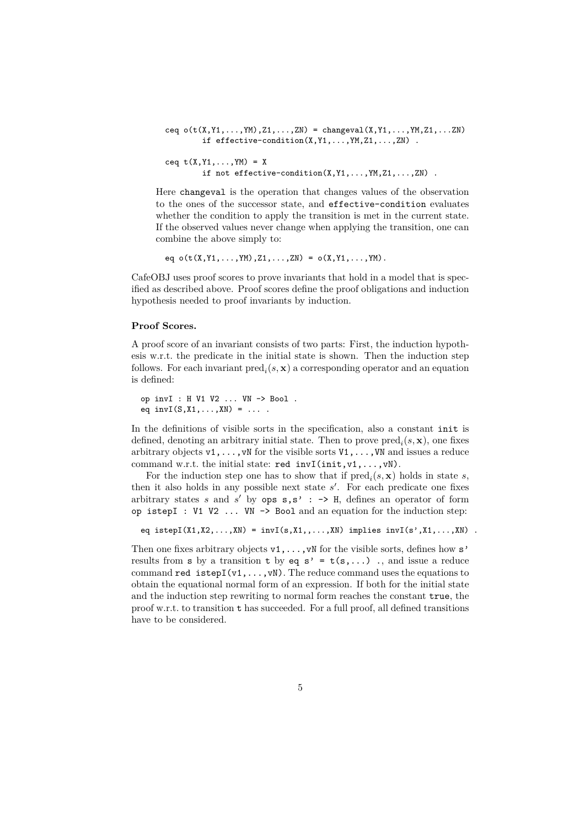```
ceq o(t(X,Y1,\ldots,YM),Z1,\ldots,ZN) = changeval(X,Y1,\ldots,YM,Z1,\ldots,ZN)if effective-condition(X, Y1, \ldots, YM, Z1, \ldots, ZN).
ceq t(X, Y1, \ldots, YM) = Xif not effective-condition(X, Y1, \ldots, YM, Z1, \ldots, ZN).
```
Here changeval is the operation that changes values of the observation to the ones of the successor state, and effective-condition evaluates whether the condition to apply the transition is met in the current state. If the observed values never change when applying the transition, one can combine the above simply to:

eq  $o(t(X, Y1, ..., YM), Z1, ..., ZN) = o(X, Y1, ..., YM)$ .

CafeOBJ uses proof scores to prove invariants that hold in a model that is specified as described above. Proof scores define the proof obligations and induction hypothesis needed to proof invariants by induction.

### **Proof Scores.**

A proof score of an invariant consists of two parts: First, the induction hypothesis w.r.t. the predicate in the initial state is shown. Then the induction step follows. For each invariant  $\text{pred}_i(s, \mathbf{x})$  a corresponding operator and an equation is defined:

```
op invI : H V1 V2 ... VN -> Bool .
eq invI(S,X1,...,XN) = ...
```
In the definitions of visible sorts in the specification, also a constant init is defined, denoting an arbitrary initial state. Then to prove  $\text{pred}_i(s, \mathbf{x})$ , one fixes arbitrary objects  $v1, \ldots, vN$  for the visible sorts  $V1, \ldots, VN$  and issues a reduce command w.r.t. the initial state: red  $invI(int, v1, \ldots, vN)$ .

For the induction step one has to show that if  $\text{pred}_i(s, \mathbf{x})$  holds in state *s*, then it also holds in any possible next state  $s'$ . For each predicate one fixes arbitrary states  $s$  and  $s'$  by ops  $s, s'$  :  $\rightarrow$  H, defines an operator of form op istepI : V1 V2 ... VN -> Bool and an equation for the induction step:

```
eq istepI(X1,X2,...,XN) = invI(s,X1,...,XN) implies invI(s',X1,...,XN).
```
Then one fixes arbitrary objects  $v1, \ldots, vN$  for the visible sorts, defines how  $s'$ results from s by a transition t by eq  $s' = t(s,...)$ , and issue a reduce command red istepI( $v1, \ldots, vN$ ). The reduce command uses the equations to obtain the equational normal form of an expression. If both for the initial state and the induction step rewriting to normal form reaches the constant true, the proof w.r.t. to transition t has succeeded. For a full proof, all defined transitions have to be considered.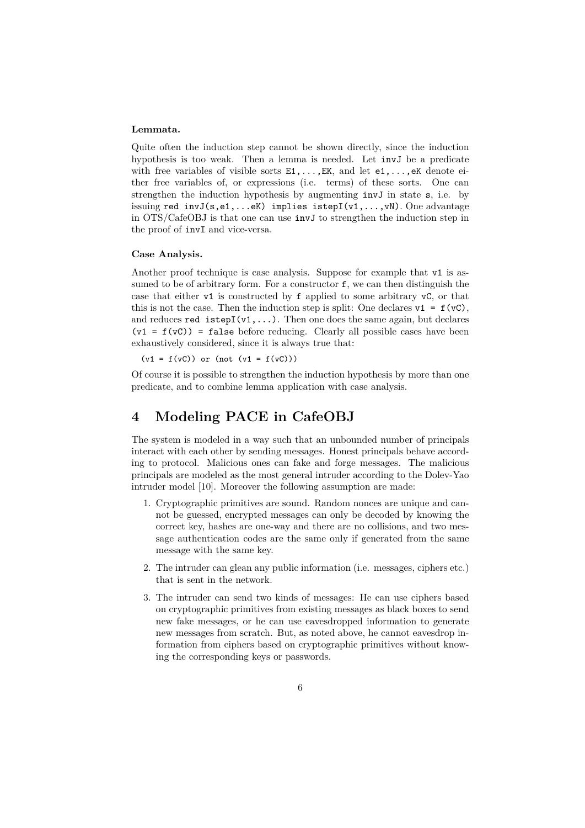#### **Lemmata.**

Quite often the induction step cannot be shown directly, since the induction hypothesis is too weak. Then a lemma is needed. Let invJ be a predicate with free variables of visible sorts  $E1, \ldots, EK$ , and let  $e1, \ldots, eK$  denote either free variables of, or expressions (i.e. terms) of these sorts. One can strengthen the induction hypothesis by augmenting invJ in state s, i.e. by issuing red  $invJ(s, e1, \ldots eK)$  implies  $istepI(v1, \ldots, vN)$ . One advantage in OTS/CafeOBJ is that one can use invJ to strengthen the induction step in the proof of invI and vice-versa.

#### **Case Analysis.**

Another proof technique is case analysis. Suppose for example that  $v1$  is assumed to be of arbitrary form. For a constructor  $f$ , we can then distinguish the case that either v1 is constructed by f applied to some arbitrary vC, or that this is not the case. Then the induction step is split: One declares  $v1 = f(vC)$ . and reduces red istepI $(v1, \ldots)$ . Then one does the same again, but declares  $(v1 = f(vC))$  = false before reducing. Clearly all possible cases have been exhaustively considered, since it is always true that:

 $(v1 = f(vC))$  or  $(not (v1 = f(vC)))$ 

Of course it is possible to strengthen the induction hypothesis by more than one predicate, and to combine lemma application with case analysis.

### **4 Modeling PACE in CafeOBJ**

The system is modeled in a way such that an unbounded number of principals interact with each other by sending messages. Honest principals behave according to protocol. Malicious ones can fake and forge messages. The malicious principals are modeled as the most general intruder according to the Dolev-Yao intruder model [10]. Moreover the following assumption are made:

- 1. Cryptographic primitives are sound. Random nonces are unique and cannot be guessed, encrypted messages can only be decoded by knowing the correct key, hashes are one-way and there are no collisions, and two message authentication codes are the same only if generated from the same message with the same key.
- 2. The intruder can glean any public information (i.e. messages, ciphers etc.) that is sent in the network.
- 3. The intruder can send two kinds of messages: He can use ciphers based on cryptographic primitives from existing messages as black boxes to send new fake messages, or he can use eavesdropped information to generate new messages from scratch. But, as noted above, he cannot eavesdrop information from ciphers based on cryptographic primitives without knowing the corresponding keys or passwords.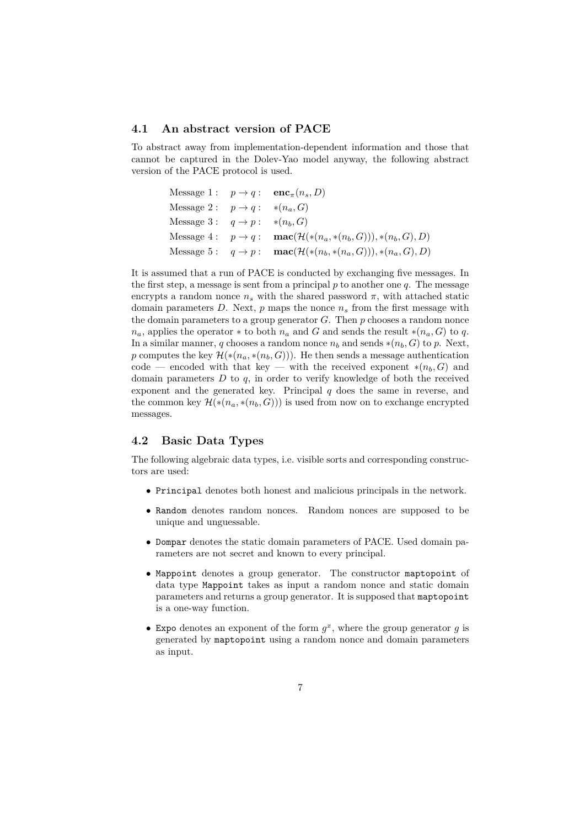### **4.1 An abstract version of PACE**

To abstract away from implementation-dependent information and those that cannot be captured in the Dolev-Yao model anyway, the following abstract version of the PACE protocol is used.

$$
\begin{aligned}\n\text{Message 1:} \quad & p \rightarrow q: \quad \mathbf{enc}_{\pi}(n_s, D) \\
\text{Message 2:} \quad & p \rightarrow q: \quad * (n_a, G) \\
\text{Message 3:} \quad & q \rightarrow p: \quad * (n_b, G) \\
\text{Message 4:} \quad & p \rightarrow q: \quad \mathbf{mac}(\mathcal{H}(* (n_a, * (n_b, G))), * (n_b, G), D) \\
\text{Message 5:} \quad & q \rightarrow p: \quad \mathbf{mac}(\mathcal{H}(* (n_b, * (n_a, G))), * (n_a, G), D)\n\end{aligned}
$$

It is assumed that a run of PACE is conducted by exchanging five messages. In the first step, a message is sent from a principal  $p$  to another one  $q$ . The message encrypts a random nonce  $n_s$  with the shared password  $\pi$ , with attached static domain parameters *D*. Next, *p* maps the nonce *n<sup>s</sup>* from the first message with the domain parameters to a group generator *G*. Then *p* chooses a random nonce  $n_a$ , applies the operator  $*$  to both  $n_a$  and *G* and sends the result  $*(n_a, G)$  to *q*. In a similar manner, *q* chooses a random nonce  $n_b$  and sends  $*(n_b, G)$  to *p*. Next, p computes the key  $\mathcal{H}(* (n_a, * (n_b, G)))$ . He then sends a message authentication code — encoded with that key — with the received exponent  $*(n_b, G)$  and domain parameters *D* to *q*, in order to verify knowledge of both the received exponent and the generated key. Principal *q* does the same in reverse, and the common key  $\mathcal{H}(\ast(n_a,\ast(n_b,G)))$  is used from now on to exchange encrypted messages.

### **4.2 Basic Data Types**

The following algebraic data types, i.e. visible sorts and corresponding constructors are used:

- Principal denotes both honest and malicious principals in the network.
- Random denotes random nonces. Random nonces are supposed to be unique and unguessable.
- Dompar denotes the static domain parameters of PACE. Used domain parameters are not secret and known to every principal.
- Mappoint denotes a group generator. The constructor maptopoint of data type Mappoint takes as input a random nonce and static domain parameters and returns a group generator. It is supposed that maptopoint is a one-way function.
- Expo denotes an exponent of the form  $g^x$ , where the group generator  $g$  is generated by maptopoint using a random nonce and domain parameters as input.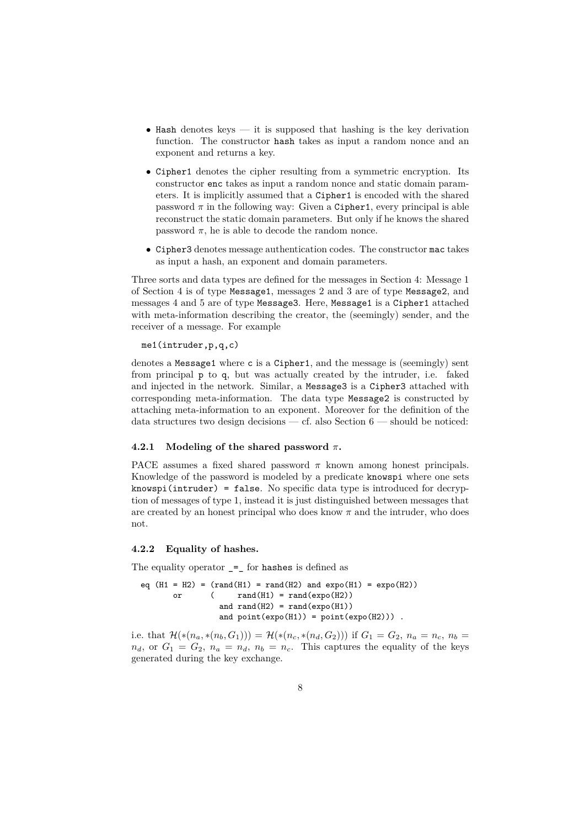- Hash denotes keys  $\overline{\phantom{a}}$  it is supposed that hashing is the key derivation function. The constructor hash takes as input a random nonce and an exponent and returns a key.
- Cipher1 denotes the cipher resulting from a symmetric encryption. Its constructor enc takes as input a random nonce and static domain parameters. It is implicitly assumed that a Cipher1 is encoded with the shared password  $\pi$  in the following way: Given a Cipher1, every principal is able reconstruct the static domain parameters. But only if he knows the shared password  $\pi$ , he is able to decode the random nonce.
- Cipher3 denotes message authentication codes. The constructor mac takes as input a hash, an exponent and domain parameters.

Three sorts and data types are defined for the messages in Section 4: Message 1 of Section 4 is of type Message1, messages 2 and 3 are of type Message2, and messages 4 and 5 are of type Message3. Here, Message1 is a Cipher1 attached with meta-information describing the creator, the (seemingly) sender, and the receiver of a message. For example

#### me1(intruder,p,q,c)

denotes a Message1 where c is a Cipher1, and the message is (seemingly) sent from principal p to q, but was actually created by the intruder, i.e. faked and injected in the network. Similar, a Message3 is a Cipher3 attached with corresponding meta-information. The data type Message2 is constructed by attaching meta-information to an exponent. Moreover for the definition of the data structures two design decisions — cf. also Section 6 — should be noticed:

### **4.2.1 Modeling of the shared password** *π***.**

PACE assumes a fixed shared password  $\pi$  known among honest principals. Knowledge of the password is modeled by a predicate knowspi where one sets knowspi(intruder) = false. No specific data type is introduced for decryption of messages of type 1, instead it is just distinguished between messages that are created by an honest principal who does know  $\pi$  and the intruder, who does not.

#### **4.2.2 Equality of hashes.**

The equality operator  $=$  for hashes is defined as

eq  $(H1 = H2) = (rand(H1) = rand(H2)$  and  $expo(H1) = expo(H2)$ or  $(\text{rand}(H1) = \text{rand}(\text{expo}(H2)))$ and  $rand(H2) = rand(expo(H1))$ and point(expo(H1)) = point(expo(H2))) .

i.e. that  $\mathcal{H}(\ast(n_a,\ast(n_b,G_1))) = \mathcal{H}(\ast(n_c,\ast(n_d,G_2)))$  if  $G_1 = G_2$ ,  $n_a = n_c$ ,  $n_b =$  $n_d$ , or  $G_1 = G_2$ ,  $n_a = n_d$ ,  $n_b = n_c$ . This captures the equality of the keys generated during the key exchange.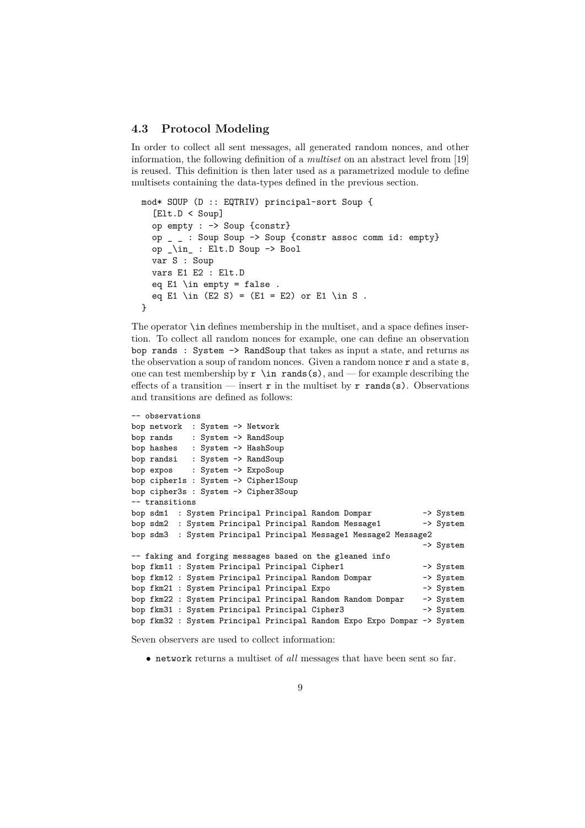### **4.3 Protocol Modeling**

In order to collect all sent messages, all generated random nonces, and other information, the following definition of a *multiset* on an abstract level from [19] is reused. This definition is then later used as a parametrized module to define multisets containing the data-types defined in the previous section.

```
mod* SOUP (D :: EQTRIV) principal-sort Soup {
  [Elt.D < Soup]
  op empty : -> Soup {constr}
  op _ _ : Soup Soup -> Soup {constr assoc comm id: empty}
 op _\in_ : Elt.D Soup -> Bool
 var S : Soup
 vars E1 E2 : Elt.D
  eq E1 \in empty = false .
  eq E1 \in (E2 S) = (E1 = E2) or E1 \in S.
}
```
The operator \in defines membership in the multiset, and a space defines insertion. To collect all random nonces for example, one can define an observation bop rands : System -> RandSoup that takes as input a state, and returns as the observation a soup of random nonces. Given a random nonce  $r$  and a state  $s$ , one can test membership by  $\mathbf r \in \mathbb X$ , and — for example describing the effects of a transition — insert r in the multiset by r rands(s). Observations and transitions are defined as follows:

```
-- observations
bop network : System -> Network
bop rands : System -> RandSoup
bop hashes : System -> HashSoup
bop randsi : System -> RandSoup
bop expos : System -> ExpoSoup
bop cipher1s : System -> Cipher1Soup
bop cipher3s : System -> Cipher3Soup
-- transitions
bop sdm1 : System Principal Principal Random Dompar -> System
bop sdm2 : System Principal Principal Random Message1 -> System
bop sdm3 : System Principal Principal Message1 Message2 Message2
                                                         -> System
-- faking and forging messages based on the gleaned info
bop fkm11 : System Principal Principal Cipher1 -> System
bop fkm12 : System Principal Principal Random Dompar -> System
bop fkm21 : System Principal Principal Expo -> System
bop fkm22 : System Principal Principal Random Random Dompar -> System
bop fkm31 : System Principal Principal Cipher3 -> System
bop fkm32 : System Principal Principal Random Expo Expo Dompar -> System
```
Seven observers are used to collect information:

• network returns a multiset of *all* messages that have been sent so far.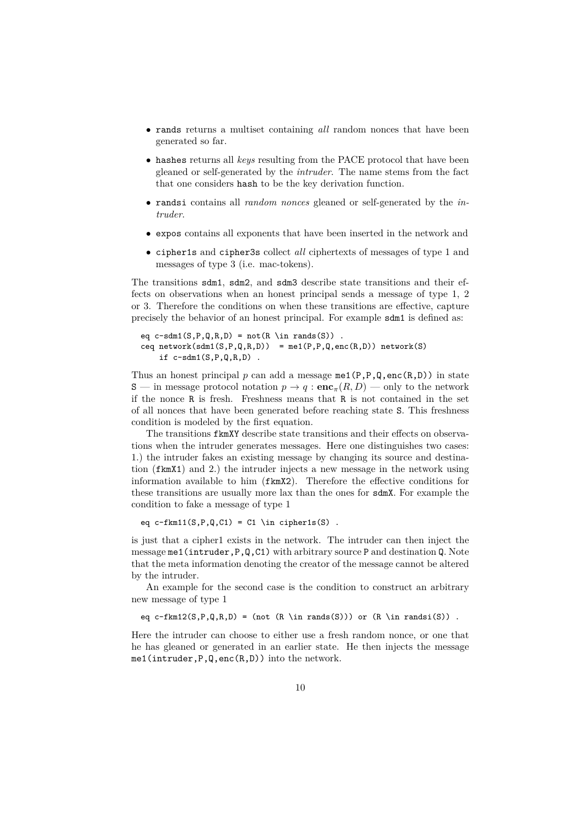- rands returns a multiset containing *all* random nonces that have been generated so far.
- hashes returns all *keys* resulting from the PACE protocol that have been gleaned or self-generated by the *intruder*. The name stems from the fact that one considers hash to be the key derivation function.
- randsi contains all *random nonces* gleaned or self-generated by the *intruder*.
- expos contains all exponents that have been inserted in the network and
- cipher1s and cipher3s collect *all* ciphertexts of messages of type 1 and messages of type 3 (i.e. mac-tokens).

The transitions sdm1, sdm2, and sdm3 describe state transitions and their effects on observations when an honest principal sends a message of type 1, 2 or 3. Therefore the conditions on when these transitions are effective, capture precisely the behavior of an honest principal. For example sdm1 is defined as:

```
eq c-sdm1(S,P,Q,R,D) = not(R \in rands(S)).
ceq network(sdm1(S,P,Q,R,D)) = mel(P,P,Q,enc(R,D)) network(S)
    if c-sdm1(S, P, Q, R, D).
```
Thus an honest principal *p* can add a message  $me1(P, P, Q, enc(R, D))$  in state S — in message protocol notation  $p \to q : \mathbf{enc}_{\pi}(R, D)$  — only to the network if the nonce R is fresh. Freshness means that R is not contained in the set of all nonces that have been generated before reaching state S. This freshness condition is modeled by the first equation.

The transitions fkmXY describe state transitions and their effects on observations when the intruder generates messages. Here one distinguishes two cases: 1.) the intruder fakes an existing message by changing its source and destination (fkmX1) and 2.) the intruder injects a new message in the network using information available to him (fkmX2). Therefore the effective conditions for these transitions are usually more lax than the ones for sdmX. For example the condition to fake a message of type 1

eq  $c-fkm11(S,P,Q,C1) = C1 \in ciphers(S)$ .

is just that a cipher1 exists in the network. The intruder can then inject the message me1(intruder,P,Q,C1) with arbitrary source P and destination Q. Note that the meta information denoting the creator of the message cannot be altered by the intruder.

An example for the second case is the condition to construct an arbitrary new message of type 1

eq  $c-fkm12(S,P,Q,R,D) = (not (R \in rands(S)))$  or  $(R \in rands(S))$ .

Here the intruder can choose to either use a fresh random nonce, or one that he has gleaned or generated in an earlier state. He then injects the message me1(intruder,P,Q,enc(R,D)) into the network.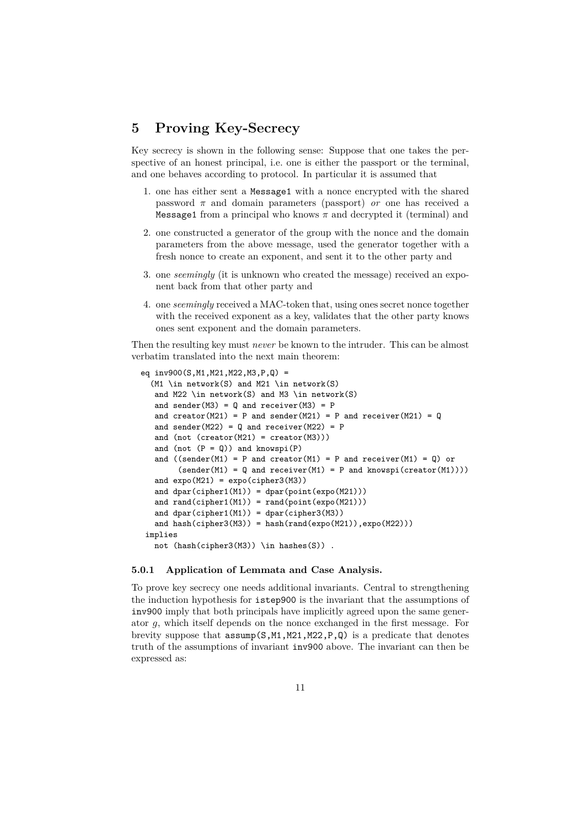# **5 Proving Key-Secrecy**

Key secrecy is shown in the following sense: Suppose that one takes the perspective of an honest principal, i.e. one is either the passport or the terminal, and one behaves according to protocol. In particular it is assumed that

- 1. one has either sent a Message1 with a nonce encrypted with the shared password *π* and domain parameters (passport) *or* one has received a Message1 from a principal who knows  $\pi$  and decrypted it (terminal) and
- 2. one constructed a generator of the group with the nonce and the domain parameters from the above message, used the generator together with a fresh nonce to create an exponent, and sent it to the other party and
- 3. one *seemingly* (it is unknown who created the message) received an exponent back from that other party and
- 4. one *seemingly* received a MAC-token that, using ones secret nonce together with the received exponent as a key, validates that the other party knows ones sent exponent and the domain parameters.

Then the resulting key must *never* be known to the intruder. This can be almost verbatim translated into the next main theorem:

```
eq inv900(S,M1,M21,M22,M3,P,Q) =
  (M1 \in \text{network}(S) and M21 \in \text{network}(S)and M22 \in network(S) and M3 \in network(S)
   and sender(M3) = 0 and receiver(M3) = P
   and creator(M21) = P and sender(M21) = P and receiver(M21) = Q
   and sender(M22) = Q and receiver(M22) = P
   and (not (creation(M21) = creator(M3)))and (not (P = Q)) and knowspi(P)and ((\text{sender}(M1) = P \text{ and } \text{create}(M1) = P \text{ and } \text{receiver}(M1) = 0) or
        (sender(M1) = Q and receiver(M1) = P and knowspi(creator(M1)))and \expo(M21) = \expo(cipher3(M3))and dpar(cipher1(M1)) = dpar(point(expo(M21)))and rand(cipher1(M1)) = rand(point(expo(M21)))and dpar(cipher1(M1)) = dpar(cipher3(M3))
   and hash(cipher3(M3)) = hash(rand(expo(M21)),expo(M22)))
 implies
   not (hash(cipher3(M3)) \in hashes(S)) .
```
#### **5.0.1 Application of Lemmata and Case Analysis.**

To prove key secrecy one needs additional invariants. Central to strengthening the induction hypothesis for istep900 is the invariant that the assumptions of inv900 imply that both principals have implicitly agreed upon the same generator *g*, which itself depends on the nonce exchanged in the first message. For brevity suppose that  $\text{assump}(S,M1,M21,M22,P,Q)$  is a predicate that denotes truth of the assumptions of invariant inv900 above. The invariant can then be expressed as: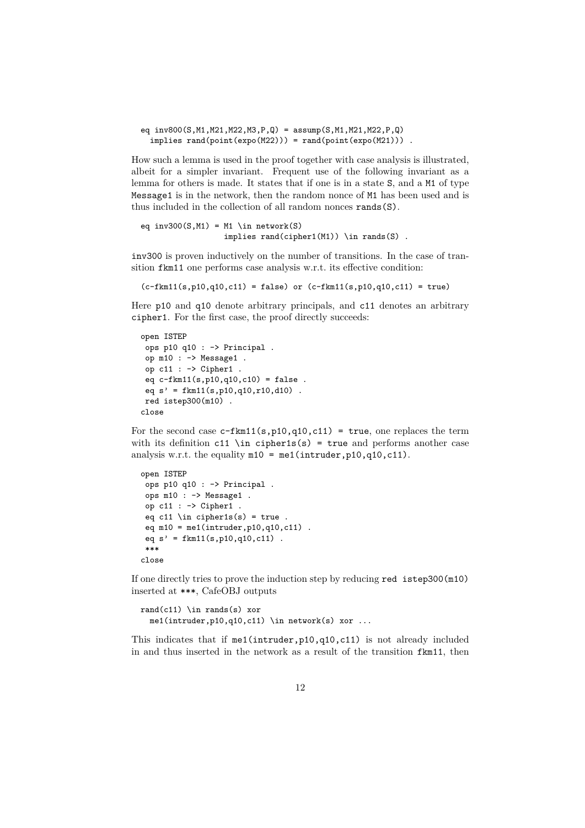```
eq inv800(S,M1,M21,M22,M3,P,Q) = assump(S,M1,M21,M22,P,Q)implies rand(point(expo(M22))) = rand(point(expo(M21)))
```
How such a lemma is used in the proof together with case analysis is illustrated, albeit for a simpler invariant. Frequent use of the following invariant as a lemma for others is made. It states that if one is in a state S, and a M1 of type Message1 is in the network, then the random nonce of M1 has been used and is thus included in the collection of all random nonces rands(S).

```
eq inv300(S,M1) = M1 \in \infty network(S)
                    implies rand(cipher1(M1)) \in rands(S) .
```
inv300 is proven inductively on the number of transitions. In the case of transition fkm11 one performs case analysis w.r.t. its effective condition:

```
(c-fkm11(s, p10, q10, c11) = false) or (c-fkm11(s, p10, q10, c11) = true)
```
Here p10 and q10 denote arbitrary principals, and c11 denotes an arbitrary cipher1. For the first case, the proof directly succeeds:

```
open ISTEP
ops p10 q10 : -> Principal .
op m10 : -> Message1 .
op c11 : -> Cipher1 .
eq c-fkm11(s,p10,q10,c10) = false .
eq s' = fkm11(s,p10,q10,r10,d10) .
red istep300(m10) .
close
```
For the second case  $c$ -fkm11(s,p10,q10,c11) = true, one replaces the term with its definition  $c11 \in ciphers(s) = true$  and performs another case analysis w.r.t. the equality  $m10 = me1(intruder, p10, q10, c11)$ .

```
open ISTEP
 ops p10 q10 : -> Principal .
 ops m10 : -> Message1 .
 op c11 : -> Cipher1 .
 eq c11 \in cipher1s(s) = true.
 eq m10 = me1(intruder, p10, q10, c11).
 eq s' = fkm11(s, p10, q10, c11).
 ***
close
```
If one directly tries to prove the induction step by reducing red istep300(m10) inserted at \*\*\*, CafeOBJ outputs

```
rand(c11) \in rands(s) xor
 me1(intruder,p10,q10,c11) \in network(s) xor ...
```
This indicates that if me1(intruder,p10,q10,c11) is not already included in and thus inserted in the network as a result of the transition fkm11, then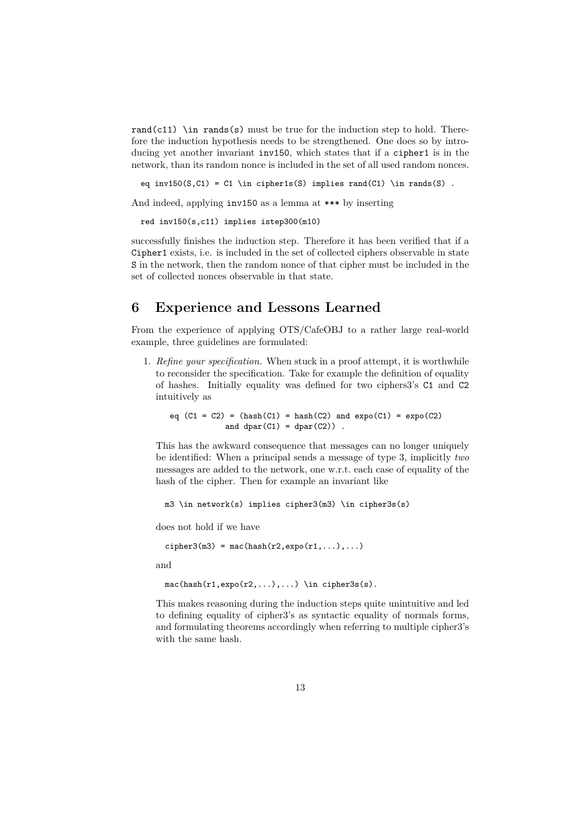rand(c11)  $\in$  rands(s) must be true for the induction step to hold. Therefore the induction hypothesis needs to be strengthened. One does so by introducing yet another invariant inv150, which states that if a cipher1 is in the network, than its random nonce is included in the set of all used random nonces.

eq inv150(S,C1) = C1 \in cipher1s(S) implies rand(C1) \in rands(S) .

And indeed, applying inv150 as a lemma at \*\*\* by inserting

red inv150(s,c11) implies istep300(m10)

successfully finishes the induction step. Therefore it has been verified that if a Cipher1 exists, i.e. is included in the set of collected ciphers observable in state S in the network, then the random nonce of that cipher must be included in the set of collected nonces observable in that state.

# **6 Experience and Lessons Learned**

From the experience of applying OTS/CafeOBJ to a rather large real-world example, three guidelines are formulated:

1. *Refine your specification.* When stuck in a proof attempt, it is worthwhile to reconsider the specification. Take for example the definition of equality of hashes. Initially equality was defined for two ciphers3's C1 and C2 intuitively as

eq  $(C1 = C2) = (hash(C1) = hash(C2)$  and  $expo(C1) = expo(C2)$ and dpar( $C1$ ) = dpar( $C2$ )).

This has the awkward consequence that messages can no longer uniquely be identified: When a principal sends a message of type 3, implicitly *two* messages are added to the network, one w.r.t. each case of equality of the hash of the cipher. Then for example an invariant like

m3 \in network(s) implies cipher3(m3) \in cipher3s(s)

does not hold if we have

cipher3(m3) = mac(hash(r2,expo(r1,...),...)

and

 $mac(hash(r1,expo(r2,...),...) \in cipher3s(s).$ 

This makes reasoning during the induction steps quite unintuitive and led to defining equality of cipher3's as syntactic equality of normals forms, and formulating theorems accordingly when referring to multiple cipher3's with the same hash.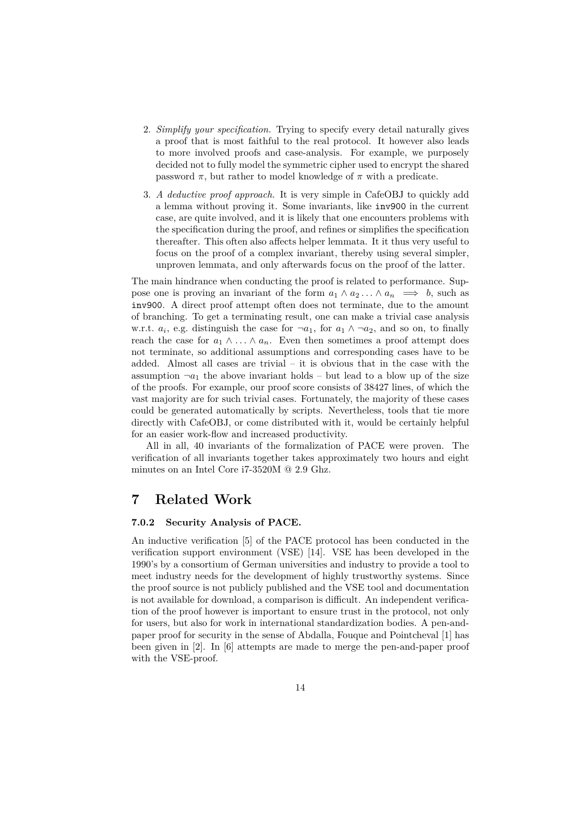- 2. *Simplify your specification.* Trying to specify every detail naturally gives a proof that is most faithful to the real protocol. It however also leads to more involved proofs and case-analysis. For example, we purposely decided not to fully model the symmetric cipher used to encrypt the shared password  $\pi$ , but rather to model knowledge of  $\pi$  with a predicate.
- 3. *A deductive proof approach.* It is very simple in CafeOBJ to quickly add a lemma without proving it. Some invariants, like inv900 in the current case, are quite involved, and it is likely that one encounters problems with the specification during the proof, and refines or simplifies the specification thereafter. This often also affects helper lemmata. It it thus very useful to focus on the proof of a complex invariant, thereby using several simpler, unproven lemmata, and only afterwards focus on the proof of the latter.

The main hindrance when conducting the proof is related to performance. Suppose one is proving an invariant of the form  $a_1 \wedge a_2 \ldots \wedge a_n \implies b$ , such as inv900. A direct proof attempt often does not terminate, due to the amount of branching. To get a terminating result, one can make a trivial case analysis w.r.t.  $a_i$ , e.g. distinguish the case for  $\neg a_1$ , for  $a_1 \wedge \neg a_2$ , and so on, to finally reach the case for  $a_1 \wedge \ldots \wedge a_n$ . Even then sometimes a proof attempt does not terminate, so additional assumptions and corresponding cases have to be added. Almost all cases are trivial – it is obvious that in the case with the assumption  $\neg a_1$  the above invariant holds – but lead to a blow up of the size of the proofs. For example, our proof score consists of 38427 lines, of which the vast majority are for such trivial cases. Fortunately, the majority of these cases could be generated automatically by scripts. Nevertheless, tools that tie more directly with CafeOBJ, or come distributed with it, would be certainly helpful for an easier work-flow and increased productivity.

All in all, 40 invariants of the formalization of PACE were proven. The verification of all invariants together takes approximately two hours and eight minutes on an Intel Core i7-3520M @ 2.9 Ghz.

# **7 Related Work**

### **7.0.2 Security Analysis of PACE.**

An inductive verification [5] of the PACE protocol has been conducted in the verification support environment (VSE) [14]. VSE has been developed in the 1990's by a consortium of German universities and industry to provide a tool to meet industry needs for the development of highly trustworthy systems. Since the proof source is not publicly published and the VSE tool and documentation is not available for download, a comparison is difficult. An independent verification of the proof however is important to ensure trust in the protocol, not only for users, but also for work in international standardization bodies. A pen-andpaper proof for security in the sense of Abdalla, Fouque and Pointcheval [1] has been given in [2]. In [6] attempts are made to merge the pen-and-paper proof with the VSE-proof.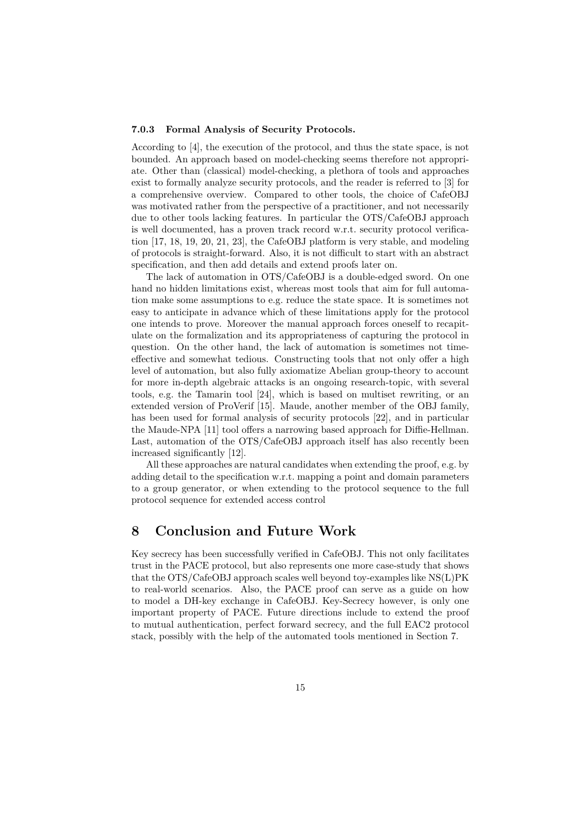#### **7.0.3 Formal Analysis of Security Protocols.**

According to [4], the execution of the protocol, and thus the state space, is not bounded. An approach based on model-checking seems therefore not appropriate. Other than (classical) model-checking, a plethora of tools and approaches exist to formally analyze security protocols, and the reader is referred to [3] for a comprehensive overview. Compared to other tools, the choice of CafeOBJ was motivated rather from the perspective of a practitioner, and not necessarily due to other tools lacking features. In particular the OTS/CafeOBJ approach is well documented, has a proven track record w.r.t. security protocol verification [17, 18, 19, 20, 21, 23], the CafeOBJ platform is very stable, and modeling of protocols is straight-forward. Also, it is not difficult to start with an abstract specification, and then add details and extend proofs later on.

The lack of automation in OTS/CafeOBJ is a double-edged sword. On one hand no hidden limitations exist, whereas most tools that aim for full automation make some assumptions to e.g. reduce the state space. It is sometimes not easy to anticipate in advance which of these limitations apply for the protocol one intends to prove. Moreover the manual approach forces oneself to recapitulate on the formalization and its appropriateness of capturing the protocol in question. On the other hand, the lack of automation is sometimes not timeeffective and somewhat tedious. Constructing tools that not only offer a high level of automation, but also fully axiomatize Abelian group-theory to account for more in-depth algebraic attacks is an ongoing research-topic, with several tools, e.g. the Tamarin tool [24], which is based on multiset rewriting, or an extended version of ProVerif [15]. Maude, another member of the OBJ family, has been used for formal analysis of security protocols [22], and in particular the Maude-NPA [11] tool offers a narrowing based approach for Diffie-Hellman. Last, automation of the OTS/CafeOBJ approach itself has also recently been increased significantly [12].

All these approaches are natural candidates when extending the proof, e.g. by adding detail to the specification w.r.t. mapping a point and domain parameters to a group generator, or when extending to the protocol sequence to the full protocol sequence for extended access control

### **8 Conclusion and Future Work**

Key secrecy has been successfully verified in CafeOBJ. This not only facilitates trust in the PACE protocol, but also represents one more case-study that shows that the OTS/CafeOBJ approach scales well beyond toy-examples like NS(L)PK to real-world scenarios. Also, the PACE proof can serve as a guide on how to model a DH-key exchange in CafeOBJ. Key-Secrecy however, is only one important property of PACE. Future directions include to extend the proof to mutual authentication, perfect forward secrecy, and the full EAC2 protocol stack, possibly with the help of the automated tools mentioned in Section 7.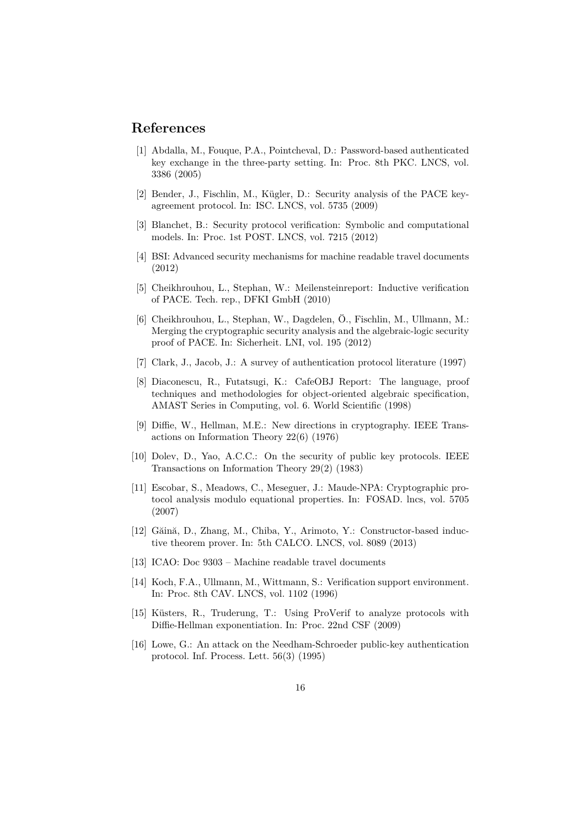# **References**

- [1] Abdalla, M., Fouque, P.A., Pointcheval, D.: Password-based authenticated key exchange in the three-party setting. In: Proc. 8th PKC. LNCS, vol. 3386 (2005)
- [2] Bender, J., Fischlin, M., Kügler, D.: Security analysis of the PACE keyagreement protocol. In: ISC. LNCS, vol. 5735 (2009)
- [3] Blanchet, B.: Security protocol verification: Symbolic and computational models. In: Proc. 1st POST. LNCS, vol. 7215 (2012)
- [4] BSI: Advanced security mechanisms for machine readable travel documents (2012)
- [5] Cheikhrouhou, L., Stephan, W.: Meilensteinreport: Inductive verification of PACE. Tech. rep., DFKI GmbH (2010)
- [6] Cheikhrouhou, L., Stephan, W., Dagdelen, Ö., Fischlin, M., Ullmann, M.: Merging the cryptographic security analysis and the algebraic-logic security proof of PACE. In: Sicherheit. LNI, vol. 195 (2012)
- [7] Clark, J., Jacob, J.: A survey of authentication protocol literature (1997)
- [8] Diaconescu, R., Futatsugi, K.: CafeOBJ Report: The language, proof techniques and methodologies for object-oriented algebraic specification, AMAST Series in Computing, vol. 6. World Scientific (1998)
- [9] Diffie, W., Hellman, M.E.: New directions in cryptography. IEEE Transactions on Information Theory 22(6) (1976)
- [10] Dolev, D., Yao, A.C.C.: On the security of public key protocols. IEEE Transactions on Information Theory 29(2) (1983)
- [11] Escobar, S., Meadows, C., Meseguer, J.: Maude-NPA: Cryptographic protocol analysis modulo equational properties. In: FOSAD. lncs, vol. 5705 (2007)
- [12] Găină, D., Zhang, M., Chiba, Y., Arimoto, Y.: Constructor-based inductive theorem prover. In: 5th CALCO. LNCS, vol. 8089 (2013)
- [13] ICAO: Doc 9303 Machine readable travel documents
- [14] Koch, F.A., Ullmann, M., Wittmann, S.: Verification support environment. In: Proc. 8th CAV. LNCS, vol. 1102 (1996)
- [15] Küsters, R., Truderung, T.: Using ProVerif to analyze protocols with Diffie-Hellman exponentiation. In: Proc. 22nd CSF (2009)
- [16] Lowe, G.: An attack on the Needham-Schroeder public-key authentication protocol. Inf. Process. Lett. 56(3) (1995)